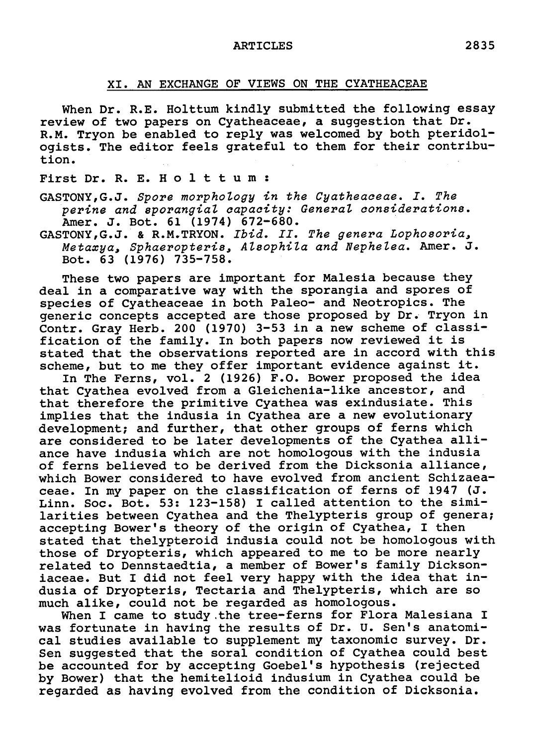## XI. An exchange of views on the Cyatheaceae

When Dr. R.E. Holttum kindly submitted the following essay review of two papers on Cyatheaceae, <sup>a</sup> suggestion that Dr. R.M. Tryon be enabled to reply was welcomed by both pteridologists. The editor feels grateful to them for their contribution.

## First Dr. R. E. Holttum:

GASTONY, G.J. Spore morphology in the Cyatheaceae . I. The perine and sporangial capacity: General considerations. Amer. J. Bot. 61 (1974) 672-680.

GASTONY, G.J. & R.M. TRYON. Ibid. II. The genera Lophosoria, Metaxya, Sphaeropteris, Alsophila and Nephelea. Amer. J. Bot. 63 (1976) 735-758.

These two papers are important for Malesia because they deal in <sup>a</sup> comparative way with the sporangia and spores of species of Cyatheaceae in both Paleo- and Neotropics. The generic concepts accepted are those proposed by Dr. Tryon in generic concepts accepted are those proposed by Dr. Iryon I<br>Contr. Gray Herb. 200 (1970) 3-53 in a new scheme of classi<br>fication of the family. In both papers now reviewed it is fication of the family. In both papers now reviewed it is<br>stated that the observations reported are in accord with this scheme, but to me they offer important evidence against it.

In The Ferns, vol. <sup>2</sup> (1926) F.O. Bower proposed the idea that Cyathea evolved from <sup>a</sup> Gleichenia-like ancestor, and that therefore the primitive Cyathea was exindusiate. This implies that the indusia in Cyathea are <sup>a</sup> new evolutionary development; and further, that other groups of ferns which are considered to be later developments of the Cyathea alliance have indusia which are not homologous with the indusia of ferns believed to be derived from the Dicksonia alliance, which Bower considered to have evolved from ancient Schizaeaceae. In my paper on the classification of ferns of <sup>1947</sup> (J. Linn. Soc. Bot. 53: 123-158) I called attention to the similarities between Cyathea and the Thelypteris group of genera; accepting Bower's theory of the origin of Cyathea, I then stated that thelypteroid indusia could not be homologous with those of Dryopteris, which appeared to me to be more nearly related to Dennstaedtia, <sup>a</sup> member of Bower's family Dicksoniaceae. But I did not feel very happy with the idea that indusia of Dryopteris, Tectaria and Thelypteris, which are so much alike, could not be regarded as homologous.

When I came to study the tree-ferns for Flora Malesiana I was fortunate in having the results of Dr. U. Sen's anatomiwas fortunate in naving the fesuits of Df. 0. Sen s anatomi-<br>cal studies available to supplement my taxonomic survey. Dr. cal studies available to supplement my taxonomic survey. Dr.<br>Sen suggested that the soral condition of Cyathea could best be accounted for by accepting Goebel's hypothesis (rejected by Bower) that the hemitelioid indusium in Cyathea could be regarded as having evolved from the condition of Dicksonia.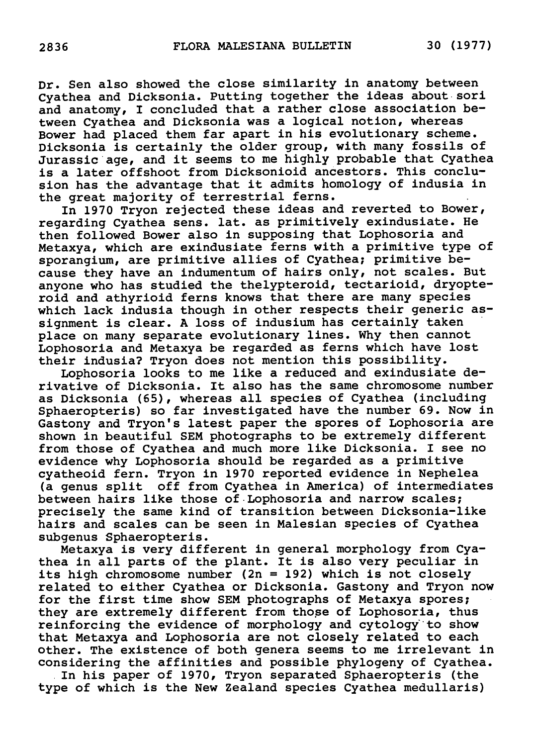Dr. Sen also showed the close similarity in anatomy between Cyathea and Dicksonia. Putting together the ideas about sori and anatomy, I concluded that <sup>a</sup> rather close association between Cyathea and Dicksonia was <sup>a</sup> logical notion, whereas Bower had placed them far apart in his evolutionary scheme. Dicksonia is certainly the older group, with many fossils of Jurassic age, and it seems to me highly probable that Cyathea is <sup>a</sup> later offshoot from Dicksonioid ancestors. This conclusion has the advantage that it admits homology of indusia in the great majority of terrestrial ferns.

In 1970 Tryon rejected these ideas and reverted to Bower, regarding Cyathea sens. lat. as primitively exindusiate. He then followed Bower also in supposing that Lophosoria and Metaxya, which are exindusiate ferns with <sup>a</sup> primitive type of sporangium, are primitive allies of Cyathea; primitive because they have an indumentum of hairs only, not scales. But anyone who has studied the thelypteroid, tectarioid, dryopteroid and athyrioid ferns knows that there are many species which lack indusia though in other respects their generic assignment is clear. <sup>A</sup> loss of indusium has certainly taken place on many separate evolutionary lines. Why then cannot Lophosoria and Metaxya be regarded as ferns which have lost their indusia? Tryon does not mention this possibility.

Lophosoria looks to me like <sup>a</sup> reduced and exindusiate derivative of Dicksonia. It also has the same chromosome number as Dicksonia (65), whereas all species of Cyathea (including Sphaeropteris) so far investigated have the number 69. Now in Gastony and Tryon's latest paper the spores of Lophosoria are shown in beautiful SEM photographs to be extremely different from those of Cyathea and much more like Dicksonia. I see no evidence why Lophosoria should be regarded as <sup>a</sup> primitive cyatheoid fern. Tryon in <sup>1970</sup> reported evidence in Nephelea (a genus split off from Cyathea in America) of intermediates between hairs like those of Lophosoria and narrow scales; precisely the same kind of transition between Dicksonia-like hairs and scales can be seen in Malesian species of Cyathea subgenus Sphaeropteris.

Metaxya is very different in general morphology from Cyathea in all parts of the plant. It is also very peculiar in its high chromosome number (2n <sup>=</sup> 192) which is not closely related to either Cyathea or Dicksonia. Gastony and Tryon now for the first time show SEM photographs of Metaxya spores; they are extremely different from those of Lophosoria, thus reinforcing the evidence of morphology and cytology to show that Metaxya and Lophosoria are not closely related to each other. The existence of both genera seems to me irrelevant in considering the affinities and possible phylogeny of Cyathea.

In his paper of 1970, Tryon separated Sphaeropteris (the type of which is the New Zealand species Cyathea medullaris)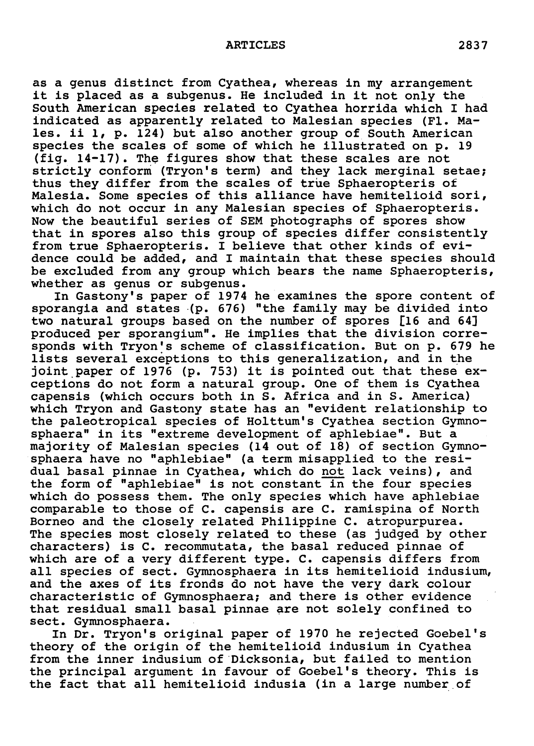as <sup>a</sup> genus distinct from Cyathea, whereas in my arrangement it is placed as <sup>a</sup> subgenus. He included in it not only the it is placed as a subgenus. He included in it not only the<br>South American species related to Cyathea horrida which I had indicated as apparently related to Malesian species (Fl. Males. ii 1, p. 124) but also another group of South American species the scales of some of which he illustrated on p. <sup>19</sup> (fig. 14-17). The figures show that these scales are not strictly conform (Tryon's term) and they lack merginal setae; thus they differ from the scales of true Sphaeropteris of Malesia. Some species of this alliance have hemitelioid sori, which do not occur in any Malesian species of Sphaeropteris. Now the beautiful series of SEM photographs of spores show that in spores also this group of species differ consistently from true Sphaeropteris. I believe that other kinds of evidence could be added, and I maintain that these species should be excluded from any group which bears the name Sphaeropteris, whether as genus or subgenus.

In Gastony's paper of <sup>1974</sup> he examines the spore content of sporangia and states (p. 676) "the family may be divided into two natural groups based on the number of spores [16 and 64] produced per sporangium". He implies that the division corresponds with Tryon's scheme of classification. But on p. <sup>679</sup> he lists several exceptions to this generalization, and in the joint paper of <sup>1976</sup> (p. 753) it is pointed out that these exceptions do not form <sup>a</sup> natural group. One of them is Cyathea capensis (which occurs both in S. Africa and in S. America) which Tryon and Gastony state has an "evident relationship to the paleotropical species of Holttum's Cyathea section Gymnosphaera" in its "extreme development of aphlebiae". But <sup>a</sup> sphaera In Its extreme development of aphiebiae . But a<br>majority of Malesian species (14 out of 18) of section Gymno majority of malesian species (14 out of 16) of section dym<br>sphaera have no "aphlebiae" (a term misapplied to the resi dual basal pinnae in Cyathea, which do not lack veins), and the form of "aphlebiae" is not constant in the four species which do possess them. The only species which have aphlebiae comparable to those of C. capensis are C. ramispina of North Borneo and the closely related Philippine C. atropurpurea. The species most closely related to these (as judged by other characters) is C. recommutata, the basal reduced pinnae of which are of <sup>a</sup> very different type. C. capensis differs from all species of sect. Gymnosphaera in its hemitelioid indusium, and the axes of its fronds do not have the very dark colour characteristic of Gymnosphaera; and there is other evidence that residual small basal pinnae are not solely confined to sect. Gymnosphaera.

In Dr. Tryon's original paper of <sup>1970</sup> he rejected Goebel's theory of the origin of the hemitelioid indusium in Cyathea from the inner indusium of Dicksonia, but failed to mention the principal argument in favour of Goebel's theory. This is the fact that all hemitelioid indusia (in <sup>a</sup> large number of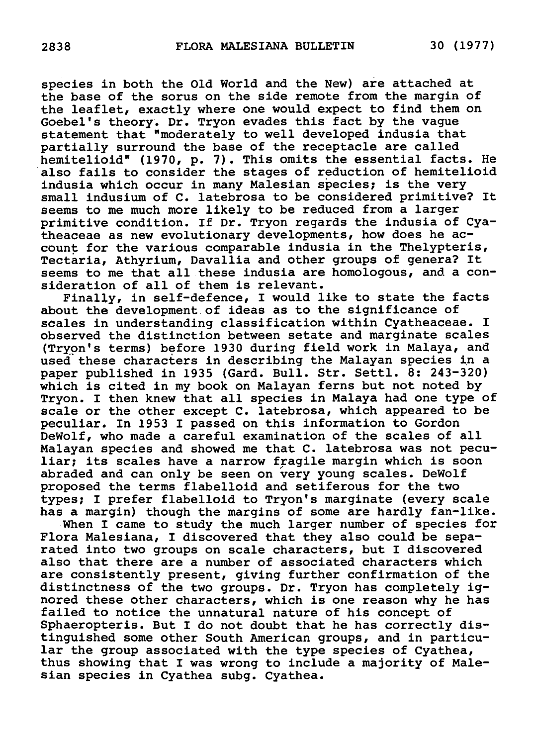species in both the Old World and the New) are attached at the base of the sorus on the side remote from the margin of the leaflet, exactly where one would expect to find them on Goebel's theory. Dr. Tryon evades this fact by the vague statement that "moderately to well developed indusia that partially surround the base of the receptacle are called hemitelioid" (1970, p. 7). This omits the essential facts. He also fails to consider the stages of reduction of hemitelioid indusia which occur in many Malesian species; is the very small indusium of C. latebrosa to be considered primitive? It seems to me much more likely to be reduced from <sup>a</sup> larger primitive condition. If Dr. Tryon regards the indusia of Cyatheaceae as new evolutionary developments, how does he account for the various comparable indusia in the Thelypteris, Tectaria, Athyrium, Davallia and other groups of genera? It Tectaria, Athyrium, Davallia and other groups of genera? It seems to me that all these indusia are homologous, and a consideration of all of them is relevant.

Finally, in self-defence, I would like to state the facts about the development of ideas as to the significance of scales in understanding classification within Cyatheaceae. I observed the distinction between setate and marginate scales (Tryon's terms) before <sup>1930</sup> during field work in Malaya, and used these characters in describing the Malayan species in <sup>a</sup> paper published in <sup>1935</sup> (Gard. Bull. Str. Settl. 8: 243-320) which is cited in my book on Malayan ferns but not noted by Tryon. I then knew that all species in Malaya had one type of scale or the other except C. latebrosa, which appeared to be peculiar. In <sup>1953</sup> I passed on this information to Gordon DeWolf, who made <sup>a</sup> careful examination of the scales of all Malayan species and showed me that C. latebrosa was not peculiar; its scales have <sup>a</sup> narrow fragile margin which is soon abraded and can only be seen on very young scales. DeWolf proposed the terms flabelloid and setiferous for the two types; I prefer flabelloid to Tryon's marginate (every scale has <sup>a</sup> margin) though the margins of some are hardly fan-like.

When I came to study the much larger number of species for Flora Malesiana, I discovered that they also could be separated into two groups on scale characters, but I discovered also that there are <sup>a</sup> number of associated characters which are consistently present, giving further confirmation of the distinctness of the two groups. Dr. Tryon has completely ignored these other characters, which is one reason why he has failed to notice the unnatural nature of his concept of Sphaeropteris. But I do not doubt that he has correctly distinguished some other South American groups, and in particular the group associated with the type species of Cyathea, thus showing that I was wrong to include <sup>a</sup> majority of Malesian species in Cyathea subg. Cyathea.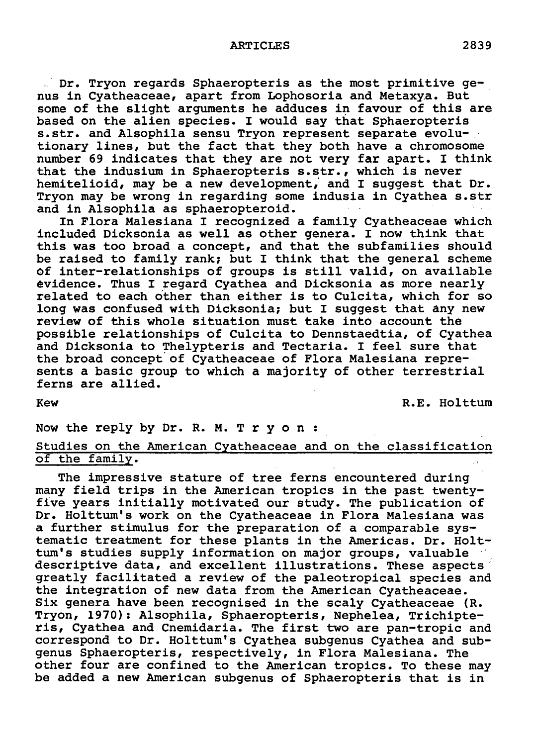ARTICLES 2839

Dr. Tryon regards Sphaeropteris as the most primitive genus in Cyatheaceae, apart from Lophosoria and Metaxya. But some of the slight arguments he adduces in favour of this are based on the alien species. I would say that Sphaeropteris s.str. and Alsophila sensu Tryon represent separate evolutionary lines, but the fact that they both have <sup>a</sup> chromosome number <sup>69</sup> indicates that they are not very far apart. I think that the indusium in Sphaeropteris s.str., which is never hemitelioid, may be <sup>a</sup> new development, and I suggest that Dr. Tryon may be wrong in regarding some indusia in Cyathea s.str and in Alsophila as sphaeropteroid.

In Flora Malesiana I recognized <sup>a</sup> family Cyatheaceae which included Dicksonia as well as other genera. I now think that this was too broad <sup>a</sup> concept, and that the subfamilies should be raised to family rank; but I think that the general scheme of inter-relationships of groups is still valid, on available evidence. Thus I regard Cyathea and Dicksonia as more nearly related to each other than either is to Culcita, which for so long was confused with Dicksonia; but I suggest that any new review of this whole situation must take into account the possible relationships of Culcita to Dennstaedtia, of Cyathea and Dicksonia to Thelypteris and Tectaria. I feel sure that the broad concept of Cyatheaceae of Flora Malesiana represents <sup>a</sup> basic group to which <sup>a</sup> majority of other terrestrial ferns are allied.

Kew R.E. Holttum

Now the reply by Dr. R. M. Tryon : Studies on the American Cyatheaceae and on the classification of the family.

The impressive stature of tree ferns encountered during many field trips in the American tropics in the past twentyfive years initially motivated our study. The publication of Dr. Holttum's work on the Cyatheaceae in Flora Malesiana was <sup>a</sup> further stimulus for the preparation of <sup>a</sup> comparable systematic treatment for these plants in the Americas. Dr. Holttum's studies supply information on major groups, valuable descriptive data, and excellent illustrations. These aspects greatly facilitated <sup>a</sup> review of the paleotropical species and the integration of new data from the American Cyatheaceae. Six genera have been recognised in the scaly Cyatheaceae (R. Tryon, 1970): Alsophila, Sphaeropteris, Nephelea, Trichipteris, Cyathea and Cnemidaria. The first two are pan-tropic and correspond to Dr. Holttum's Cyathea subgenus Cyathea and subgenus Sphaeropteris, respectively, in Flora Malesiana. The other four are confined to the American tropics. To these may be added <sup>a</sup> new American subgenus of Sphaeropteris that is in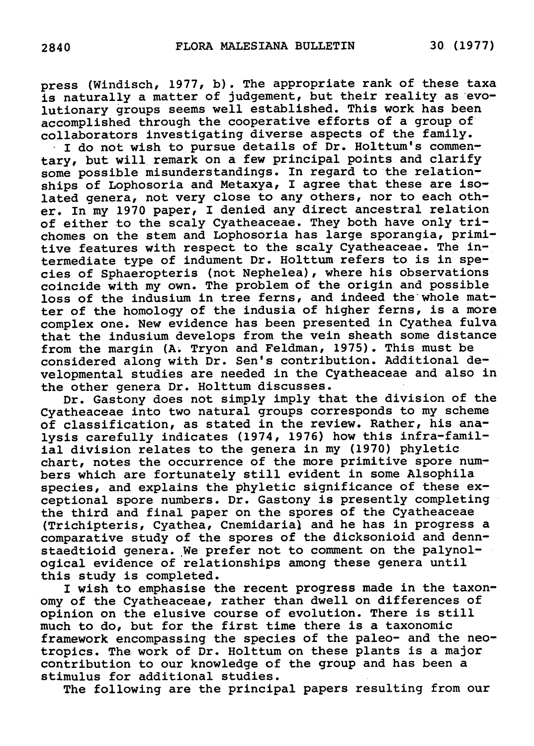press (Windisch, 1977, b) . The appropriate rank of these taxa is naturally <sup>a</sup> matter of judgement, but their reality as evolutionary groups seems well established. This work has been accomplished through the cooperative efforts of <sup>a</sup> group of collaborators investigating diverse aspects of the family.

I do not wish to pursue details of Dr. Holttum's commentary, but will remark on <sup>a</sup> few principal points and clarify some possible misunderstandings. In regard to the relationships of Lophosoria and Metaxya, I agree that these are isoships of Lophosofia and Metaxya, I aglee that these are iso<br>lated genera, not very close to any others, nor to each oth lated genera, not very close to any others, nor to each oth-<br>er. In my 1970 paper, I denied any direct ancestral relation er. In my 1970 paper, I denied any difect ancestial felations<br>of either to the scaly Cyatheaceae. They both have only tri chomes on the stem and Lophosoria has large sporangia, primitive features with respect to the scaly Cyatheaceae. The intermediate type of indument Dr. Holttum refers to is in species of Sphaeropteris (not Nephelea), where his observations coincide with my own. The problem of the origin and possible loss of the indusium in tree ferns, and indeed the whole matter of the homology of the indusia of higher ferns, is <sup>a</sup> more complex one. New evidence has been presented in Cyathea fulva that the indusium develops from the vein sheath some distance from the margin (A. Tryon and Feldman, 1975) . This must be considered along with Dr. Sen's contribution. Additional developmental studies are needed in the Cyatheaceae and also in the other genera Dr. Holttum discusses.

Dr. Gastony does not simply imply that the division of the Cyatheaceae into two natural groups corresponds to my scheme of classification, as stated in the review. Rather, his analysis carefully indicates (1974, 1976) how this infra-familial division relates to the genera in my (1970) phyletic chart, notes the occurrence of the more primitive spore numbers which are fortunately still evident in some Alsophila species, and explains the phyletic significance of these exceptional spore numbers. Dr. Gastony is presently completing the third and final paper on the spores of the Cyatheaceae (Trichipteris, Cyathea, Cnemidaria) and he has in progress <sup>a</sup> comparative study of the spores of the dicksonioid and denncomparacive study of the spores of the dicksonioid and den<br>staedtioid genera. We prefer not to comment on the palynol staedtioid genera. We prefer not to comment on the palyno<br>ogical evidence of relationships among these genera until this study is completed.

I wish to emphasise the recent progress made in the taxonomy of the Cyatheaceae, rather than dwell on differences of opinion on the elusive course of evolution. There is still opinion on the elusive course of evolution. There is still much to do, but for the first time there is a taxonomic framework encompassing the species of the paleo- and the neotropics. The work of Dr. Holttum on these plants is <sup>a</sup> major contribution to our knowledge of the group and has been <sup>a</sup> stimulus for additional studies.

The following are the principal papers resulting from our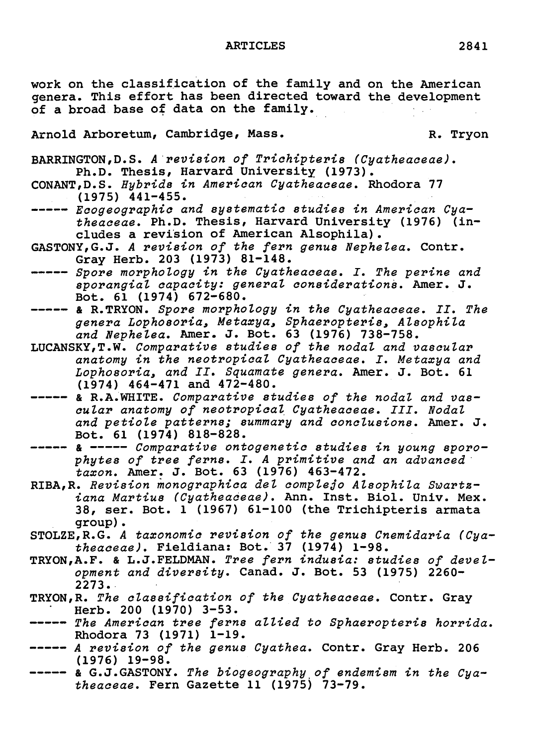work on the classification of the family and on the American genera. This effort has been directed toward the development of <sup>a</sup> broad base of data on the family.

Arnold Arboretum, Cambridge, Mass. R. Tryon

BARRINGTON,D.S. <sup>A</sup> revision of Trichipteris (Cyatheaceae). Ph.D. Thesis, Harvard University (1973) .

- CONANT, D.S. Hybrids in American Cyatheaceae. Rhodora 77 (1975) 441-455.
- Ecogeographic and sy stematic studies in American Cyatheaoeae. Ph.D. Thesis, Harvard University (1976) (includes <sup>a</sup> revision of American Alsophila).
- GASTONY,G.J. <sup>A</sup> revision of the fern genus Nephelea. Contr. Gray Herb. 203 (1973) 81-148.
- ---- Spore morphology in the Cyatheaceae. I. The perine and sporangial oapaoity: general considerations. Amer. J. Bot. 61 (1974) 672-680.
- & R.TRYON. Spore morphology in the Cyatheaceae. II. The genera Lophosoria, Metaxya, Sphaeropteris, Alsophila and Nephelea. Amer. J. Bot. <sup>63</sup> (1976) 738-758.
- LUCANSKY,T.W. Comparative studies of the nodal and vascular anatomy in the neotropical Cyatheaceae. I. Metaxya and Lophosoria, and II. Squamate genera. Amer. J. Bot. <sup>61</sup> (1974) 464-471 and 472-480.
- ----- & R.A.WHITE. Comparative studies of the nodal and vascular anatomy of neotropical Cyatheaceae. III. Nodal and petiole patterns; summary and conclusions. Amer. J. Bot. 61 (1974) 818-828.
- ---- & ----- Comparative ontogenetic studies in young sporophytes of tree ferns. I. <sup>A</sup> primitive and an advanced taxon. Amer. J. Bot. <sup>63</sup> (1976) 463-472.
- RIBA,R. Revision monographica del complejo Alsophila Swartziana Martius (Cyatheaceae). Ann. Inst. Biol. Univ. Mex. 38, ser. Bot. <sup>1</sup> (1967) 61-100 (the Trichipteris armata group).
- STOLZE/R.G. <sup>A</sup> taxonomic revision of the genus Cnemidaria (Cyatheaceae), Fieldiana: Bot. <sup>37</sup> (1974) 1-98.
- TRYON/A.F. & L.J.FELDMAN. Tree fern indusia: studies of development and diversity. Canad. J. Bot. <sup>53</sup> (1975) 2260- 2273.
- TRYON,R. The classification of the Cyatheaoeae. Contr. Gray Herb. 200 (1970) 3-53.
- The American tree ferns allied to Sphaeropteris horrida. Rhodora 73 (1971) 1-19.
- ----- A revision of the genus Cyathea. Contr. Gray Herb. 206 (1976) 19-98.
- (1976) 19-96.<br>& G.J.GASTONY. *The biogeography of endemism in the Cya* theaceae. Fern Gazette 11 (1975) 73-79.